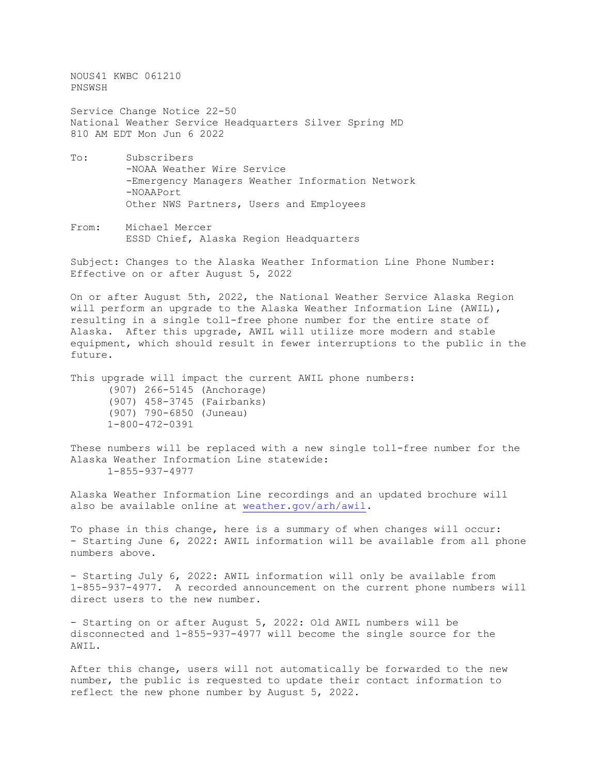NOUS41 KWBC 061210 PNSWSH Service Change Notice 22-50 National Weather Service Headquarters Silver Spring MD 810 AM EDT Mon Jun 6 2022

- To: Subscribers -NOAA Weather Wire Service -Emergency Managers Weather Information Network -NOAAPort Other NWS Partners, Users and Employees
- From: Michael Mercer ESSD Chief, Alaska Region Headquarters

Subject: Changes to the Alaska Weather Information Line Phone Number: Effective on or after August 5, 2022

On or after August 5th, 2022, the National Weather Service Alaska Region will perform an upgrade to the Alaska Weather Information Line (AWIL), resulting in a single toll-free phone number for the entire state of Alaska. After this upgrade, AWIL will utilize more modern and stable equipment, which should result in fewer interruptions to the public in the future.

This upgrade will impact the current AWIL phone numbers: (907) 266-5145 (Anchorage) (907) 458-3745 (Fairbanks) (907) 790-6850 (Juneau) 1-800-472-0391

These numbers will be replaced with a new single toll-free number for the Alaska Weather Information Line statewide: 1-855-937-4977

Alaska Weather Information Line recordings and an updated brochure will also be available online at [weather.gov/arh/awil.](http://weather.gov/arh/awil)

To phase in this change, here is a summary of when changes will occur: - Starting June 6, 2022: AWIL information will be available from all phone numbers above.

- Starting July 6, 2022: AWIL information will only be available from 1-855-937-4977. A recorded announcement on the current phone numbers will direct users to the new number.

- Starting on or after August 5, 2022: Old AWIL numbers will be disconnected and 1-855-937-4977 will become the single source for the AWIL.

After this change, users will not automatically be forwarded to the new number, the public is requested to update their contact information to reflect the new phone number by August 5, 2022.